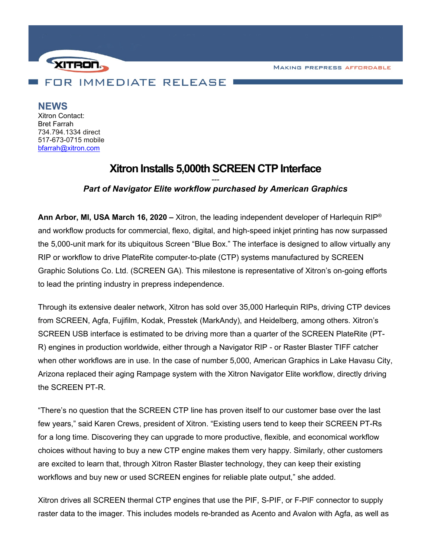**MAKING PREPRESS AFFORDABLE** 



**NEWS**

Xitron Contact: Bret Farrah 734.794.1334 direct 517-673-0715 mobile [bfarrah@xitron.com](mailto:bfarrah@xitron.com)

# **Xitron Installs 5,000th SCREEN CTP Interface**

## *--- Part of Navigator Elite workflow purchased by American Graphics*

**Ann Arbor, MI, USA March 16, 2020 –** Xitron, the leading independent developer of Harlequin RIP® and workflow products for commercial, flexo, digital, and high-speed inkjet printing has now surpassed the 5,000-unit mark for its ubiquitous Screen "Blue Box." The interface is designed to allow virtually any RIP or workflow to drive PlateRite computer-to-plate (CTP) systems manufactured by SCREEN Graphic Solutions Co. Ltd. (SCREEN GA). This milestone is representative of Xitron's on-going efforts to lead the printing industry in prepress independence.

Through its extensive dealer network, Xitron has sold over 35,000 Harlequin RIPs, driving CTP devices from SCREEN, Agfa, Fujifilm, Kodak, Presstek (MarkAndy), and Heidelberg, among others. Xitron's SCREEN USB interface is estimated to be driving more than a quarter of the SCREEN PlateRite (PT-R) engines in production worldwide, either through a Navigator RIP - or Raster Blaster TIFF catcher when other workflows are in use. In the case of number 5,000, American Graphics in Lake Havasu City, Arizona replaced their aging Rampage system with the Xitron Navigator Elite workflow, directly driving the SCREEN PT-R.

"There's no question that the SCREEN CTP line has proven itself to our customer base over the last few years," said Karen Crews, president of Xitron. "Existing users tend to keep their SCREEN PT-Rs for a long time. Discovering they can upgrade to more productive, flexible, and economical workflow choices without having to buy a new CTP engine makes them very happy. Similarly, other customers are excited to learn that, through Xitron Raster Blaster technology, they can keep their existing workflows and buy new or used SCREEN engines for reliable plate output," she added.

Xitron drives all SCREEN thermal CTP engines that use the PIF, S-PIF, or F-PIF connector to supply raster data to the imager. This includes models re-branded as Acento and Avalon with Agfa, as well as